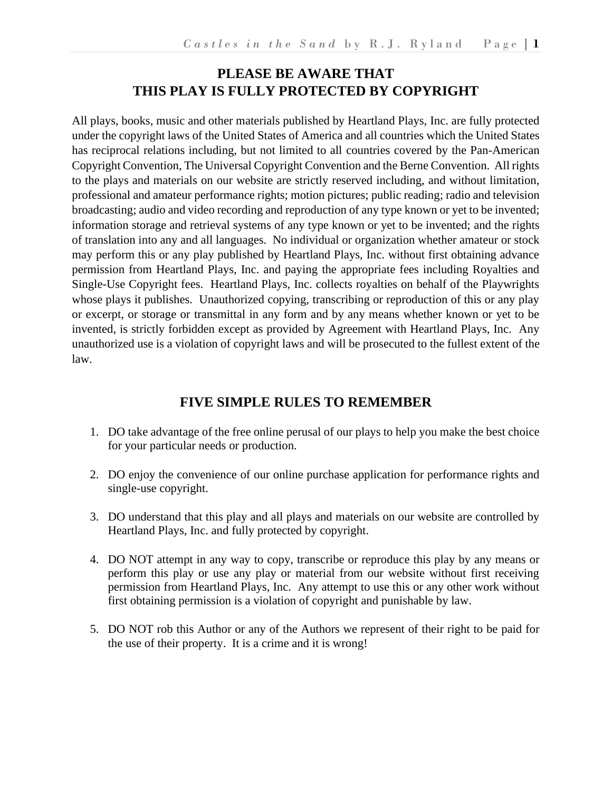# **PLEASE BE AWARE THAT THIS PLAY IS FULLY PROTECTED BY COPYRIGHT**

All plays, books, music and other materials published by Heartland Plays, Inc. are fully protected under the copyright laws of the United States of America and all countries which the United States has reciprocal relations including, but not limited to all countries covered by the Pan-American Copyright Convention, The Universal Copyright Convention and the Berne Convention. All rights to the plays and materials on our website are strictly reserved including, and without limitation, professional and amateur performance rights; motion pictures; public reading; radio and television broadcasting; audio and video recording and reproduction of any type known or yet to be invented; information storage and retrieval systems of any type known or yet to be invented; and the rights of translation into any and all languages. No individual or organization whether amateur or stock may perform this or any play published by Heartland Plays, Inc. without first obtaining advance permission from Heartland Plays, Inc. and paying the appropriate fees including Royalties and Single-Use Copyright fees. Heartland Plays, Inc. collects royalties on behalf of the Playwrights whose plays it publishes. Unauthorized copying, transcribing or reproduction of this or any play or excerpt, or storage or transmittal in any form and by any means whether known or yet to be invented, is strictly forbidden except as provided by Agreement with Heartland Plays, Inc. Any unauthorized use is a violation of copyright laws and will be prosecuted to the fullest extent of the law.

# **FIVE SIMPLE RULES TO REMEMBER**

- 1. DO take advantage of the free online perusal of our plays to help you make the best choice for your particular needs or production.
- 2. DO enjoy the convenience of our online purchase application for performance rights and single-use copyright.
- 3. DO understand that this play and all plays and materials on our website are controlled by Heartland Plays, Inc. and fully protected by copyright.
- 4. DO NOT attempt in any way to copy, transcribe or reproduce this play by any means or perform this play or use any play or material from our website without first receiving permission from Heartland Plays, Inc. Any attempt to use this or any other work without first obtaining permission is a violation of copyright and punishable by law.
- 5. DO NOT rob this Author or any of the Authors we represent of their right to be paid for the use of their property. It is a crime and it is wrong!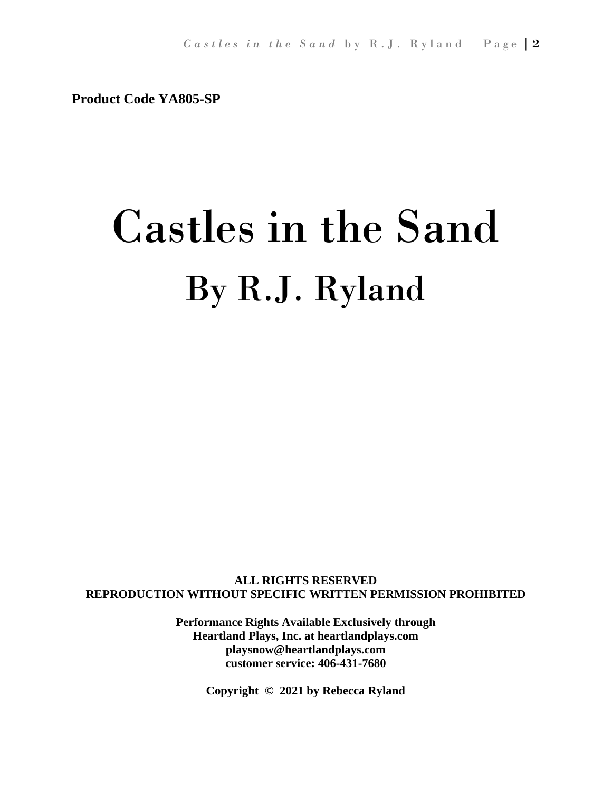**Product Code YA805-SP**

# Castles in the Sand By R.J. Ryland

**ALL RIGHTS RESERVED REPRODUCTION WITHOUT SPECIFIC WRITTEN PERMISSION PROHIBITED**

> **Performance Rights Available Exclusively through Heartland Plays, Inc. at heartlandplays.com playsnow@heartlandplays.com customer service: 406-431-7680**

> > **Copyright © 2021 by Rebecca Ryland**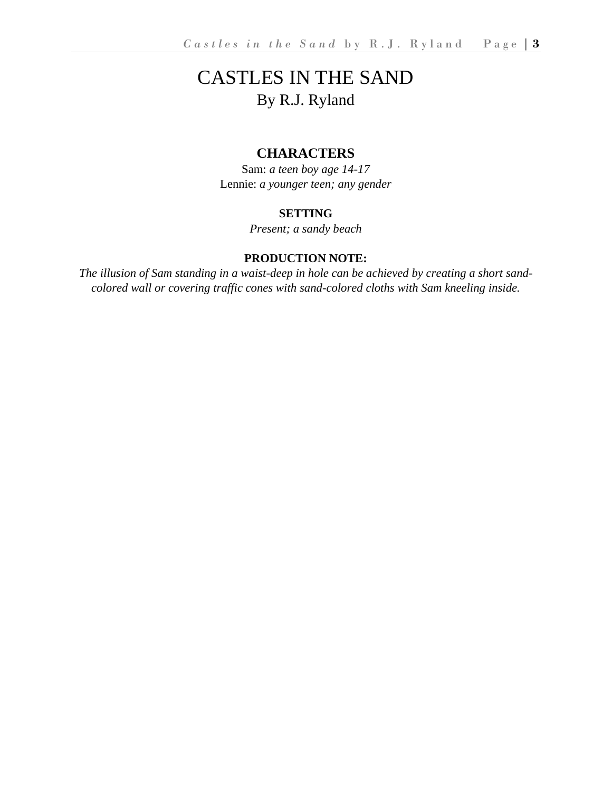# CASTLES IN THE SAND By R.J. Ryland

# **CHARACTERS**

Sam: *a teen boy age 14-17* Lennie: *a younger teen; any gender*

## **SETTING**

*Present; a sandy beach*

#### **PRODUCTION NOTE:**

*The illusion of Sam standing in a waist-deep in hole can be achieved by creating a short sandcolored wall or covering traffic cones with sand-colored cloths with Sam kneeling inside.*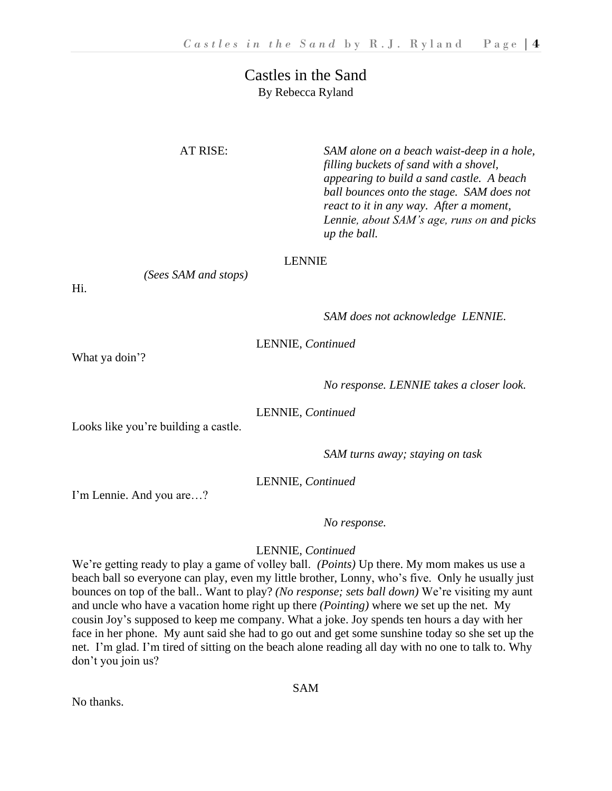# Castles in the Sand By Rebecca Ryland

*(Sees SAM and stops)*

AT RISE: *SAM alone on a beach waist-deep in a hole, filling buckets of sand with a shovel, appearing to build a sand castle. A beach ball bounces onto the stage. SAM does not react to it in any way. After a moment, Lennie, about SAM's age, runs on and picks up the ball.* 

#### LENNIE

Hi.

*SAM does not acknowledge LENNIE.*

LENNIE, *Continued*

What ya doin'?

*No response. LENNIE takes a closer look.*

LENNIE, *Continued*

Looks like you're building a castle.

*SAM turns away; staying on task*

LENNIE, *Continued*

I'm Lennie. And you are…?

*No response.*

### LENNIE, *Continued*

We're getting ready to play a game of volley ball. *(Points)* Up there. My mom makes us use a beach ball so everyone can play, even my little brother, Lonny, who's five. Only he usually just bounces on top of the ball.. Want to play? *(No response; sets ball down)* We're visiting my aunt and uncle who have a vacation home right up there *(Pointing)* where we set up the net. My cousin Joy's supposed to keep me company. What a joke. Joy spends ten hours a day with her face in her phone. My aunt said she had to go out and get some sunshine today so she set up the net. I'm glad. I'm tired of sitting on the beach alone reading all day with no one to talk to. Why don't you join us?

No thanks.

SAM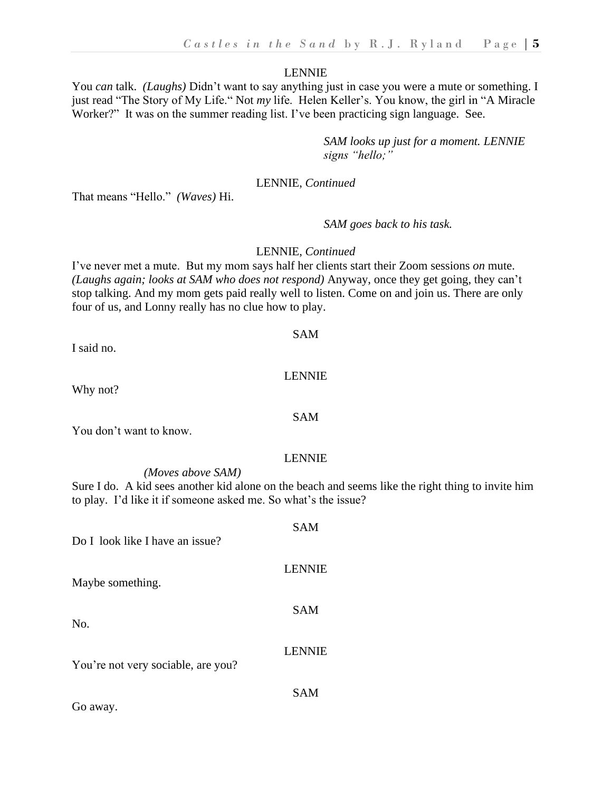You *can* talk. *(Laughs)* Didn't want to say anything just in case you were a mute or something. I just read "The Story of My Life." Not *my* life. Helen Keller's. You know, the girl in "A Miracle Worker?" It was on the summer reading list. I've been practicing sign language. See.

> *SAM looks up just for a moment. LENNIE signs "hello;"*

#### LENNIE, *Continued*

That means "Hello." *(Waves)* Hi.

#### *SAM goes back to his task.*

#### LENNIE, *Continued*

I've never met a mute. But my mom says half her clients start their Zoom sessions *on* mute. *(Laughs again; looks at SAM who does not respond)* Anyway, once they get going, they can't stop talking. And my mom gets paid really well to listen. Come on and join us. There are only four of us, and Lonny really has no clue how to play.

SAM

LENNIE

| I said no. |  |
|------------|--|
|            |  |

Why not?

You don't want to know.

#### LENNIE

*(Moves above SAM)* Sure I do. A kid sees another kid alone on the beach and seems like the right thing to invite him to play. I'd like it if someone asked me. So what's the issue?

| Do I look like I have an issue?    | <b>SAM</b>    |
|------------------------------------|---------------|
| Maybe something.                   | <b>LENNIE</b> |
| No.                                | <b>SAM</b>    |
| You're not very sociable, are you? | <b>LENNIE</b> |
| Go away.                           | SAM           |

### SAM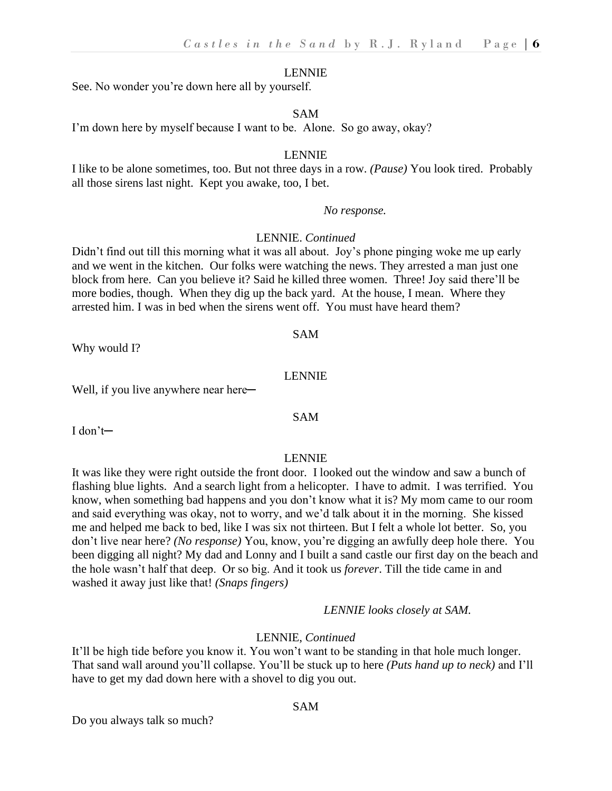See. No wonder you're down here all by yourself.

#### SAM

I'm down here by myself because I want to be. Alone. So go away, okay?

#### LENNIE

I like to be alone sometimes, too. But not three days in a row. *(Pause)* You look tired. Probably all those sirens last night. Kept you awake, too, I bet.

#### *No response.*

#### LENNIE. *Continued*

Didn't find out till this morning what it was all about. Joy's phone pinging woke me up early and we went in the kitchen. Our folks were watching the news. They arrested a man just one block from here. Can you believe it? Said he killed three women. Three! Joy said there'll be more bodies, though. When they dig up the back yard. At the house, I mean. Where they arrested him. I was in bed when the sirens went off. You must have heard them?

#### SAM

Why would I?

#### LENNIE

SAM

Well, if you live anywhere near here—

I don't─

#### LENNIE

It was like they were right outside the front door. I looked out the window and saw a bunch of flashing blue lights. And a search light from a helicopter. I have to admit. I was terrified. You know, when something bad happens and you don't know what it is? My mom came to our room and said everything was okay, not to worry, and we'd talk about it in the morning. She kissed me and helped me back to bed, like I was six not thirteen. But I felt a whole lot better. So, you don't live near here? *(No response)* You, know, you're digging an awfully deep hole there. You been digging all night? My dad and Lonny and I built a sand castle our first day on the beach and the hole wasn't half that deep. Or so big. And it took us *forever*. Till the tide came in and washed it away just like that! *(Snaps fingers)*

#### *LENNIE looks closely at SAM.*

#### LENNIE, *Continued*

It'll be high tide before you know it. You won't want to be standing in that hole much longer. That sand wall around you'll collapse. You'll be stuck up to here *(Puts hand up to neck)* and I'll have to get my dad down here with a shovel to dig you out.

SAM

Do you always talk so much?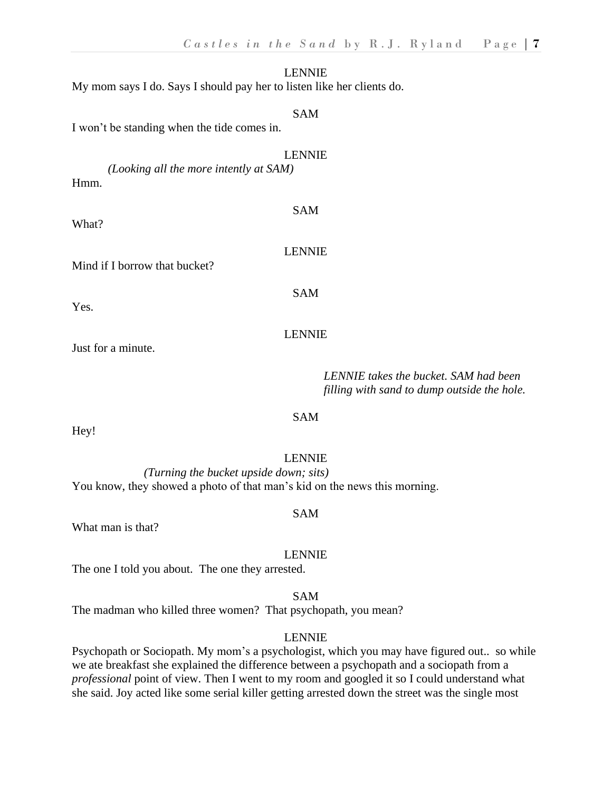LENNIE My mom says I do. Says I should pay her to listen like her clients do. SAM I won't be standing when the tide comes in.

*(Looking all the more intently at SAM)* Hmm.

What?

Mind if I borrow that bucket?

Yes.

#### LENNIE

Just for a minute.

#### *LENNIE takes the bucket. SAM had been filling with sand to dump outside the hole.*

#### SAM

Hey!

#### LENNIE

*(Turning the bucket upside down; sits)* You know, they showed a photo of that man's kid on the news this morning.

#### SAM

What man is that?

#### LENNIE

The one I told you about. The one they arrested.

#### SAM

The madman who killed three women? That psychopath, you mean?

#### LENNIE

Psychopath or Sociopath. My mom's a psychologist, which you may have figured out.. so while we ate breakfast she explained the difference between a psychopath and a sociopath from a *professional* point of view. Then I went to my room and googled it so I could understand what she said. Joy acted like some serial killer getting arrested down the street was the single most

LENNIE

SAM

LENNIE

SAM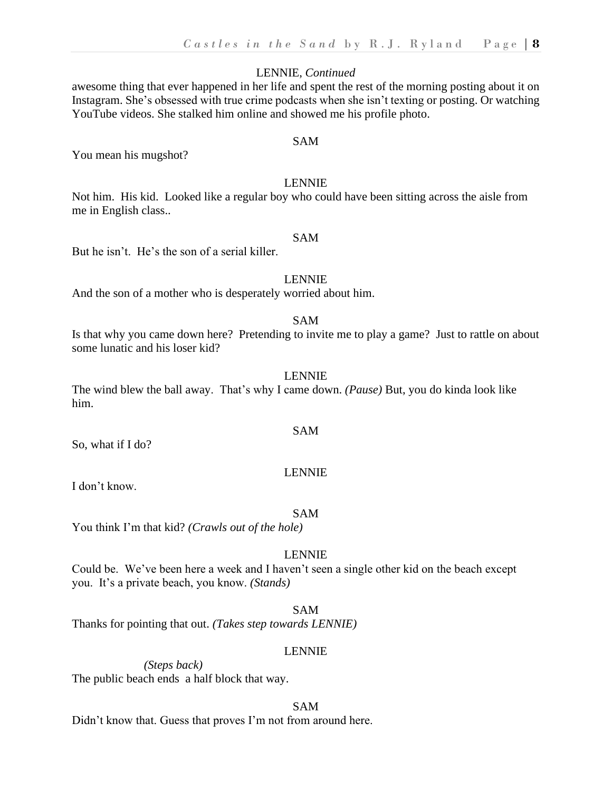#### LENNIE, *Continued*

awesome thing that ever happened in her life and spent the rest of the morning posting about it on Instagram. She's obsessed with true crime podcasts when she isn't texting or posting. Or watching YouTube videos. She stalked him online and showed me his profile photo.

#### SAM

You mean his mugshot?

#### LENNIE

Not him. His kid. Looked like a regular boy who could have been sitting across the aisle from me in English class..

#### SAM

But he isn't. He's the son of a serial killer.

#### LENNIE

And the son of a mother who is desperately worried about him.

#### SAM

Is that why you came down here? Pretending to invite me to play a game? Just to rattle on about some lunatic and his loser kid?

#### LENNIE

The wind blew the ball away. That's why I came down. *(Pause)* But, you do kinda look like him.

So, what if I do?

#### LENNIE

SAM

I don't know.

#### SAM

You think I'm that kid? *(Crawls out of the hole)*

#### LENNIE

Could be. We've been here a week and I haven't seen a single other kid on the beach except you. It's a private beach, you know. *(Stands)*

SAM

Thanks for pointing that out. *(Takes step towards LENNIE)*

#### LENNIE

*(Steps back)* The public beach ends a half block that way.

#### SAM

Didn't know that. Guess that proves I'm not from around here.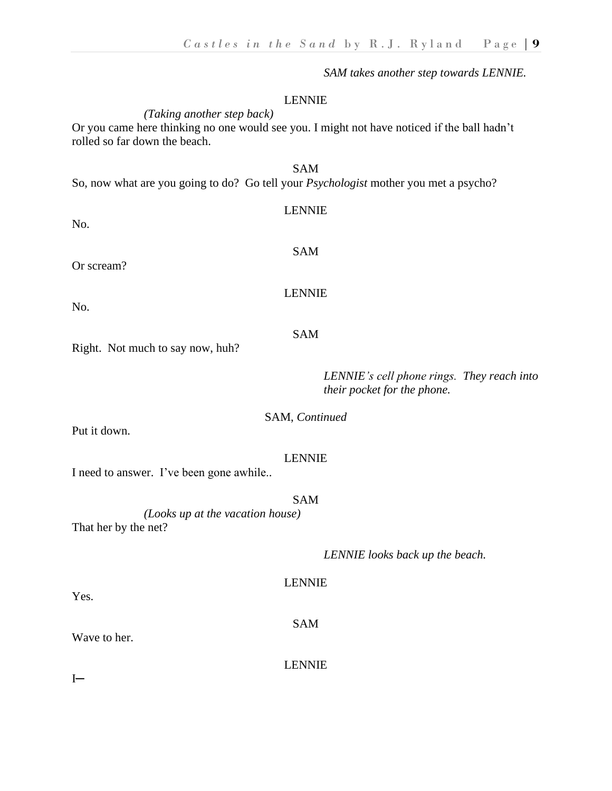*SAM takes another step towards LENNIE.*

#### LENNIE

*(Taking another step back)*

Or you came here thinking no one would see you. I might not have noticed if the ball hadn't rolled so far down the beach.

#### SAM So, now what are you going to do? Go tell your *Psychologist* mother you met a psycho?

| <b>LENNIE</b> |
|---------------|
| <b>SAM</b>    |
| <b>LENNIE</b> |
|               |

No.

Or scream?

No.

#### *LENNIE's cell phone rings. They reach into their pocket for the phone.*

#### SAM, *Continued*

Put it down.

#### LENNIE

I need to answer. I've been gone awhile..

Right. Not much to say now, huh?

#### SAM

*(Looks up at the vacation house)* That her by the net?

*LENNIE looks back up the beach.*

#### LENNIE

SAM

Wave to her.

LENNIE

 $I$ —

Yes.

SAM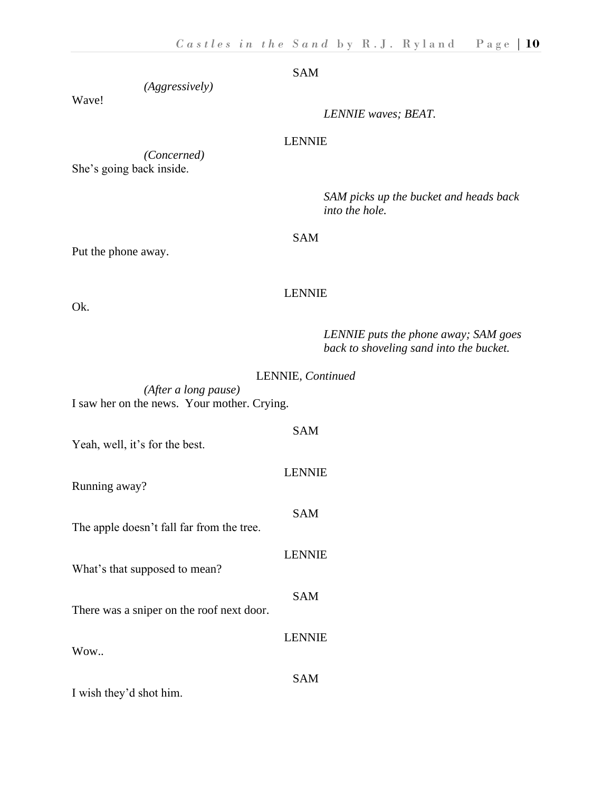SAM

*(Aggressively)*

Wave!

*LENNIE waves; BEAT.*

#### LENNIE

*(Concerned)* She's going back inside.

> *SAM picks up the bucket and heads back into the hole.*

SAM

Put the phone away.

#### LENNIE

Ok.

*LENNIE puts the phone away; SAM goes back to shoveling sand into the bucket.*

LENNIE, *Continued*

*(After a long pause)* I saw her on the news. Your mother. Crying.

| Yeah, well, it's for the best.            | SAM           |
|-------------------------------------------|---------------|
| Running away?                             | <b>LENNIE</b> |
| The apple doesn't fall far from the tree. | <b>SAM</b>    |
| What's that supposed to mean?             | <b>LENNIE</b> |
| There was a sniper on the roof next door. | <b>SAM</b>    |
| Wow                                       | <b>LENNIE</b> |
| I wish they'd shot him.                   | SAM           |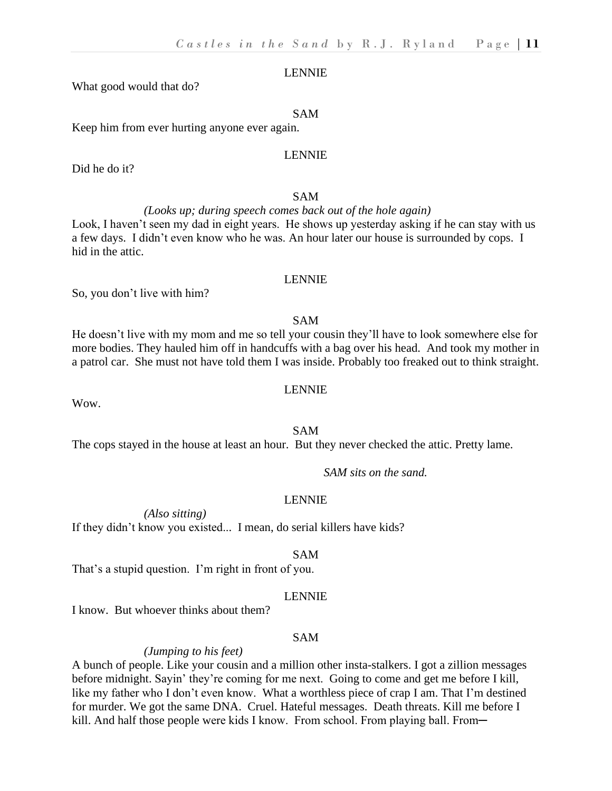What good would that do?

#### SAM

Keep him from ever hurting anyone ever again.

#### LENNIE

Did he do it?

#### SAM

# *(Looks up; during speech comes back out of the hole again)*

Look, I haven't seen my dad in eight years. He shows up yesterday asking if he can stay with us a few days. I didn't even know who he was. An hour later our house is surrounded by cops. I hid in the attic.

#### LENNIE

So, you don't live with him?

#### SAM

He doesn't live with my mom and me so tell your cousin they'll have to look somewhere else for more bodies. They hauled him off in handcuffs with a bag over his head. And took my mother in a patrol car. She must not have told them I was inside. Probably too freaked out to think straight.

#### LENNIE

Wow.

#### SAM

The cops stayed in the house at least an hour. But they never checked the attic. Pretty lame.

*SAM sits on the sand.*

#### LENNIE

*(Also sitting)* If they didn't know you existed... I mean, do serial killers have kids?

#### SAM

That's a stupid question. I'm right in front of you.

#### LENNIE

I know. But whoever thinks about them?

#### SAM

#### *(Jumping to his feet)*

A bunch of people. Like your cousin and a million other insta-stalkers. I got a zillion messages before midnight. Sayin' they're coming for me next. Going to come and get me before I kill, like my father who I don't even know. What a worthless piece of crap I am. That I'm destined for murder. We got the same DNA. Cruel. Hateful messages. Death threats. Kill me before I kill. And half those people were kids I know. From school. From playing ball. From—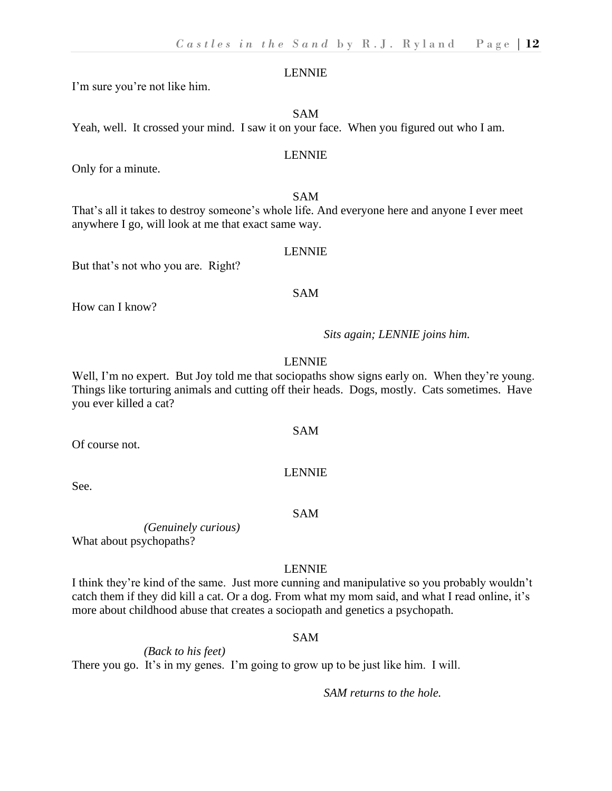I'm sure you're not like him.

SAM

Yeah, well. It crossed your mind. I saw it on your face. When you figured out who I am.

#### LENNIE

Only for a minute.

#### SAM

That's all it takes to destroy someone's whole life. And everyone here and anyone I ever meet anywhere I go, will look at me that exact same way.

#### LENNIE

SAM

But that's not who you are. Right?

How can I know?

*Sits again; LENNIE joins him.*

#### LENNIE

Well, I'm no expert. But Joy told me that sociopaths show signs early on. When they're young. Things like torturing animals and cutting off their heads. Dogs, mostly. Cats sometimes. Have you ever killed a cat?

SAM

LENNIE

Of course not.

See.

SAM

*(Genuinely curious)* What about psychopaths?

#### LENNIE

I think they're kind of the same. Just more cunning and manipulative so you probably wouldn't catch them if they did kill a cat. Or a dog. From what my mom said, and what I read online, it's more about childhood abuse that creates a sociopath and genetics a psychopath.

#### SAM

*(Back to his feet)* There you go. It's in my genes. I'm going to grow up to be just like him. I will.

*SAM returns to the hole.*